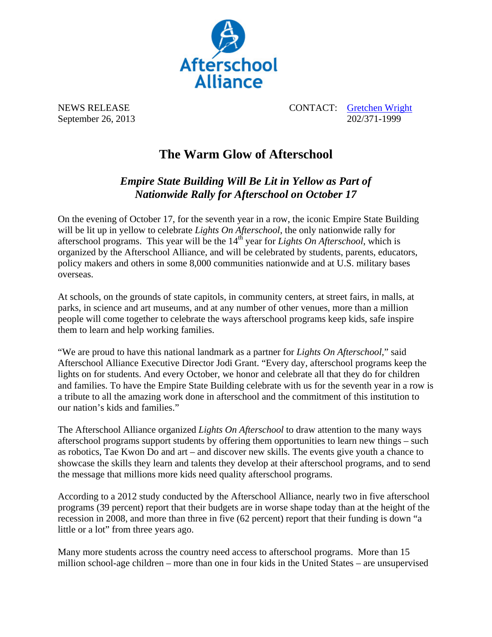

NEWS RELEASE CONTACT: Gretchen Wright September 26, 2013 202/371-1999

## **The Warm Glow of Afterschool**

*Empire State Building Will Be Lit in Yellow as Part of Nationwide Rally for Afterschool on October 17* 

On the evening of October 17, for the seventh year in a row, the iconic Empire State Building will be lit up in yellow to celebrate *Lights On Afterschool*, the only nationwide rally for afterschool programs. This year will be the  $14<sup>th</sup>$  year for *Lights On Afterschool*, which is organized by the Afterschool Alliance, and will be celebrated by students, parents, educators, policy makers and others in some 8,000 communities nationwide and at U.S. military bases overseas.

At schools, on the grounds of state capitols, in community centers, at street fairs, in malls, at parks, in science and art museums, and at any number of other venues, more than a million people will come together to celebrate the ways afterschool programs keep kids, safe inspire them to learn and help working families.

"We are proud to have this national landmark as a partner for *Lights On Afterschool*," said Afterschool Alliance Executive Director Jodi Grant. "Every day, afterschool programs keep the lights on for students. And every October, we honor and celebrate all that they do for children and families. To have the Empire State Building celebrate with us for the seventh year in a row is a tribute to all the amazing work done in afterschool and the commitment of this institution to our nation's kids and families."

The Afterschool Alliance organized *Lights On Afterschool* to draw attention to the many ways afterschool programs support students by offering them opportunities to learn new things – such as robotics, Tae Kwon Do and art – and discover new skills. The events give youth a chance to showcase the skills they learn and talents they develop at their afterschool programs, and to send the message that millions more kids need quality afterschool programs.

According to a 2012 study conducted by the Afterschool Alliance, nearly two in five afterschool programs (39 percent) report that their budgets are in worse shape today than at the height of the recession in 2008, and more than three in five (62 percent) report that their funding is down "a little or a lot" from three years ago.

Many more students across the country need access to afterschool programs. More than 15 million school-age children – more than one in four kids in the United States – are unsupervised